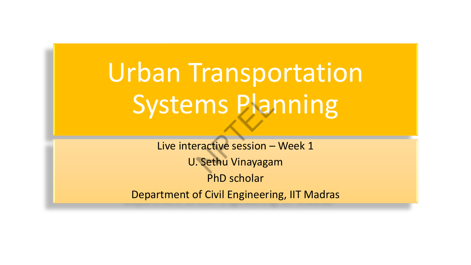# Urban Transportation Systems Planning

Live interactive session – Week 1 U. Sethu Vinayagam PhD scholar Department of Civil Engineering, IIT Madras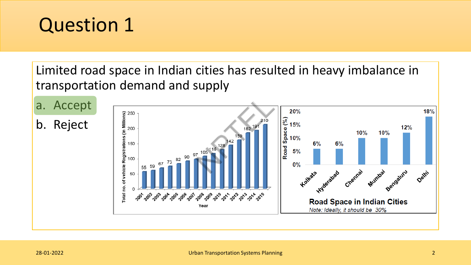Limited road space in Indian cities has resulted in heavy imbalance in transportation demand and supply

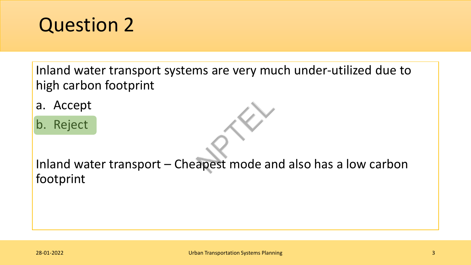Inland water transport systems are very much under-utilized due to high carbon footprint

- a. Accept
- b. Reject

Inland water transport – Cheapest mode and also has a low carbon footprint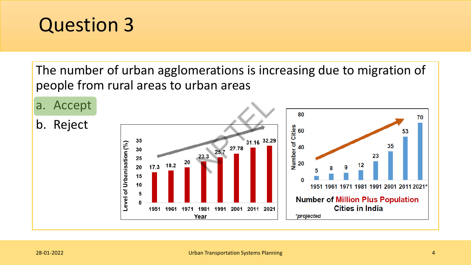The number of urban agglomerations is increasing due to migration of people from rural areas to urban areas

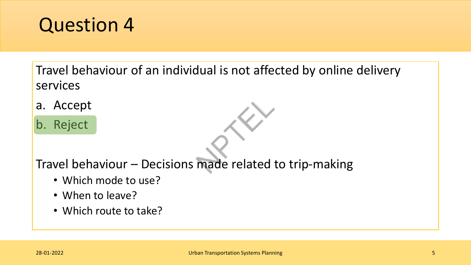Travel behaviour of an individual is not affected by online delivery services

- a. Accept
- b. Reject



- Which mode to use?
- When to leave?
- Which route to take?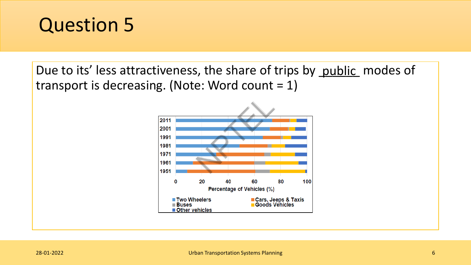Due to its' less attractiveness, the share of trips by public modes of transport is decreasing. (Note: Word count  $= 1$ )

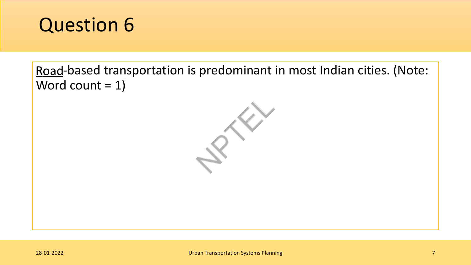

Road-based transportation is predominant in most Indian cities. (Note: Word count  $= 1$ )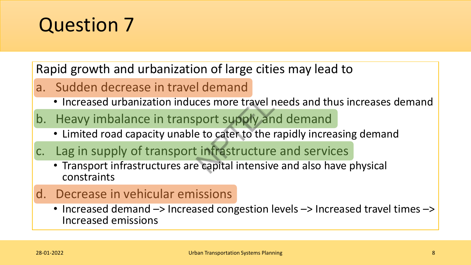Rapid growth and urbanization of large cities may lead to

- a. Sudden decrease in travel demand
	- Increased urbanization induces more travel needs and thus increases demand
- b. Heavy imbalance in transport supply and demand
	- Limited road capacity unable to cater to the rapidly increasing demand
- c. Lag in supply of transport infrastructure and services
	- Transport infrastructures are capital intensive and also have physical constraints
- d. Decrease in vehicular emissions
	- Increased demand  $\rightarrow$  Increased congestion levels  $\rightarrow$  Increased travel times  $\rightarrow$ Increased emissions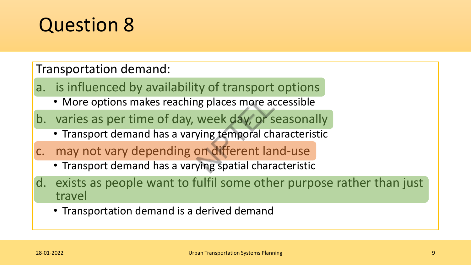Transportation demand:

- a. is influenced by availability of transport options
	- More options makes reaching places more accessible
- b. varies as per time of day, week day, or seasonally
	- Transport demand has a varying temporal characteristic
- c. may not vary depending on different land-use
	- Transport demand has a varying spatial characteristic
- d. exists as people want to fulfil some other purpose rather than just travel
	- Transportation demand is a derived demand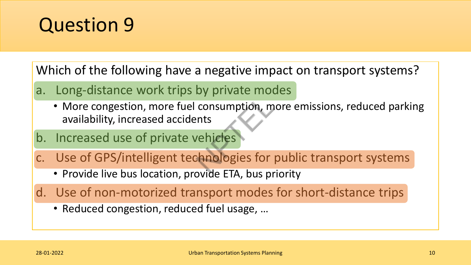

Which of the following have a negative impact on transport systems?

- a. Long-distance work trips by private modes
	- More congestion, more fuel consumption, more emissions, reduced parking availability, increased accidents
- b. Increased use of private vehicles
- c. Use of GPS/intelligent technologies for public transport systems
	- Provide live bus location, provide ETA, bus priority
- d. Use of non-motorized transport modes for short-distance trips
	- Reduced congestion, reduced fuel usage, …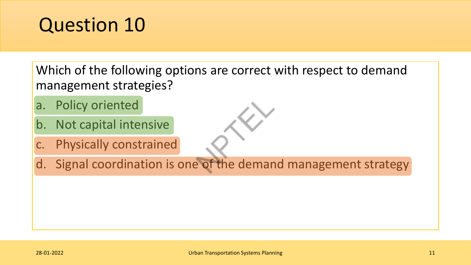Which of the following options are correct with respect to demand management strategies?

- a. Policy oriented
- b. Not capital intensive
- c. Physically constrained
- d. Signal coordination is one of the demand management strategy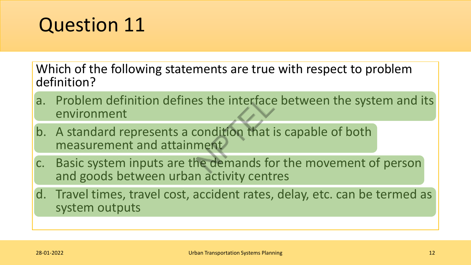Which of the following statements are true with respect to problem definition?

- a. Problem definition defines the interface between the system and its environment
- b. A standard represents a condition that is capable of both measurement and attainment
- c. Basic system inputs are the demands for the movement of person and goods between urban activity centres
- d. Travel times, travel cost, accident rates, delay, etc. can be termed as system outputs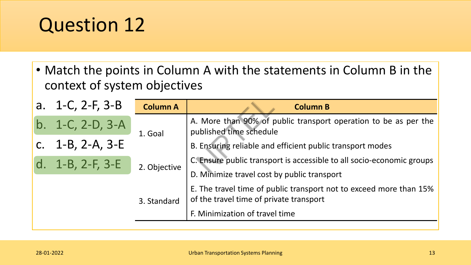• Match the points in Column A with the statements in Column B in the context of system objectives

|                | a. $1-C$ , $2-F$ , $3-B$ | <b>Column A</b>             | <b>Column B</b>                                                                                               |
|----------------|--------------------------|-----------------------------|---------------------------------------------------------------------------------------------------------------|
| $b_{\cdot}$    | $1-C$ , $2-D$ , $3-A$    | 1. Goal                     | A. More than 90% of public transport operation to be as per the<br>published time schedule                    |
|                | c. $1-B$ , $2-A$ , $3-E$ |                             | B. Ensuring reliable and efficient public transport modes                                                     |
| $\mathsf{d}$ . | $1 - B$ , 2-F, 3-E       | 2. Objective<br>3. Standard | C. Ensure public transport is accessible to all socio-economic groups                                         |
|                |                          |                             | D. Minimize travel cost by public transport                                                                   |
|                |                          |                             | E. The travel time of public transport not to exceed more than 15%<br>of the travel time of private transport |
|                |                          |                             | F. Minimization of travel time                                                                                |
|                |                          |                             |                                                                                                               |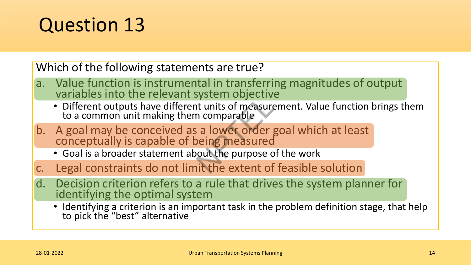Which of the following statements are true?

- a. Value function is instrumental in transferring magnitudes of output variables into the relevant system objective
	- Different outputs have different units of measurement. Value function brings them to a common unit making them comparable
- b. A goal may be conceived as a lower order goal which at least conceptually is capable of being measured
	- Goal is a broader statement about the purpose of the work
- c. Legal constraints do not limit the extent of feasible solution
- d. Decision criterion refers to a rule that drives the system planner for identifying the optimal system
	- Identifying a criterion is an important task in the problem definition stage, that help to pick the "best" alternative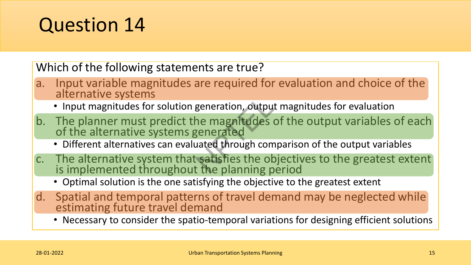Which of the following statements are true?

- a. Input variable magnitudes are required for evaluation and choice of the alternative systems
	- Input magnitudes for solution generation, output magnitudes for evaluation
- b. The planner must predict the magnitudes of the output variables of each of the alternative systems generated
	- Different alternatives can evaluated through comparison of the output variables
- c. The alternative system that satisfies the objectives to the greatest extent is implemented throughout the planning period
	- Optimal solution is the one satisfying the objective to the greatest extent
- d. Spatial and temporal patterns of travel demand may be neglected while estimating future travel demand
	- Necessary to consider the spatio-temporal variations for designing efficient solutions